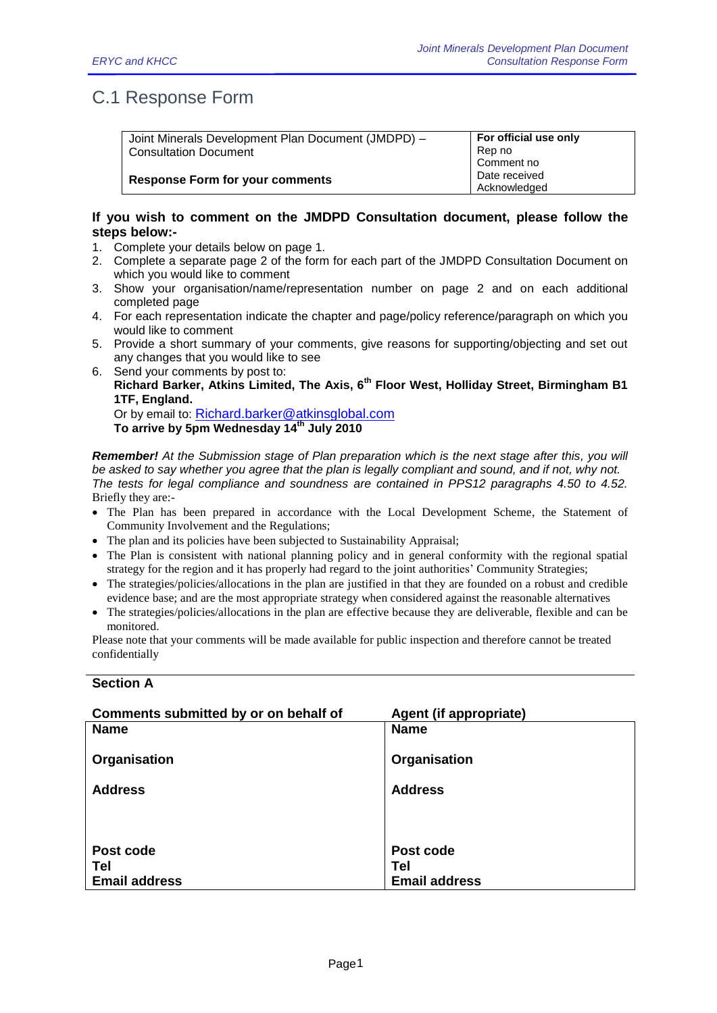## C.1 Response Form

| Joint Minerals Development Plan Document (JMDPD) - | For official use only |
|----------------------------------------------------|-----------------------|
| <b>Consultation Document</b>                       | Rep no                |
|                                                    | Comment no            |
| <b>Response Form for your comments</b>             | Date received         |
|                                                    | Acknowledged          |

## **If you wish to comment on the JMDPD Consultation document, please follow the steps below:-**

- 1. Complete your details below on page 1.
- 2. Complete a separate page 2 of the form for each part of the JMDPD Consultation Document on which you would like to comment
- 3. Show your organisation/name/representation number on page 2 and on each additional completed page
- 4. For each representation indicate the chapter and page/policy reference/paragraph on which you would like to comment
- 5. Provide a short summary of your comments, give reasons for supporting/objecting and set out any changes that you would like to see
- 6. Send your comments by post to: **Richard Barker, Atkins Limited, The Axis, 6th Floor West, Holliday Street, Birmingham B1 1TF, England.**

Or by email to: [Richard.barker@atkinsglobal.com](mailto:Richard.barker@atkinsglobal.com) **To arrive by 5pm Wednesday 14th July 2010**

*Remember! At the Submission stage of Plan preparation which is the next stage after this, you will be asked to say whether you agree that the plan is legally compliant and sound, and if not, why not. The tests for legal compliance and soundness are contained in PPS12 paragraphs 4.50 to 4.52.* Briefly they are:-

- The Plan has been prepared in accordance with the Local Development Scheme, the Statement of Community Involvement and the Regulations;
- The plan and its policies have been subjected to Sustainability Appraisal;
- The Plan is consistent with national planning policy and in general conformity with the regional spatial strategy for the region and it has properly had regard to the joint authorities' Community Strategies;
- The strategies/policies/allocations in the plan are justified in that they are founded on a robust and credible evidence base; and are the most appropriate strategy when considered against the reasonable alternatives
- The strategies/policies/allocations in the plan are effective because they are deliverable, flexible and can be monitored.

Please note that your comments will be made available for public inspection and therefore cannot be treated confidentially

## **Section A**

| Comments submitted by or on behalf of | Agent (if appropriate) |
|---------------------------------------|------------------------|
| <b>Name</b>                           | <b>Name</b>            |
| Organisation                          | Organisation           |
| <b>Address</b>                        | <b>Address</b>         |
|                                       |                        |
|                                       |                        |
| Post code                             | Post code              |
| Tel                                   | <b>Tel</b>             |
| <b>Email address</b>                  | <b>Email address</b>   |